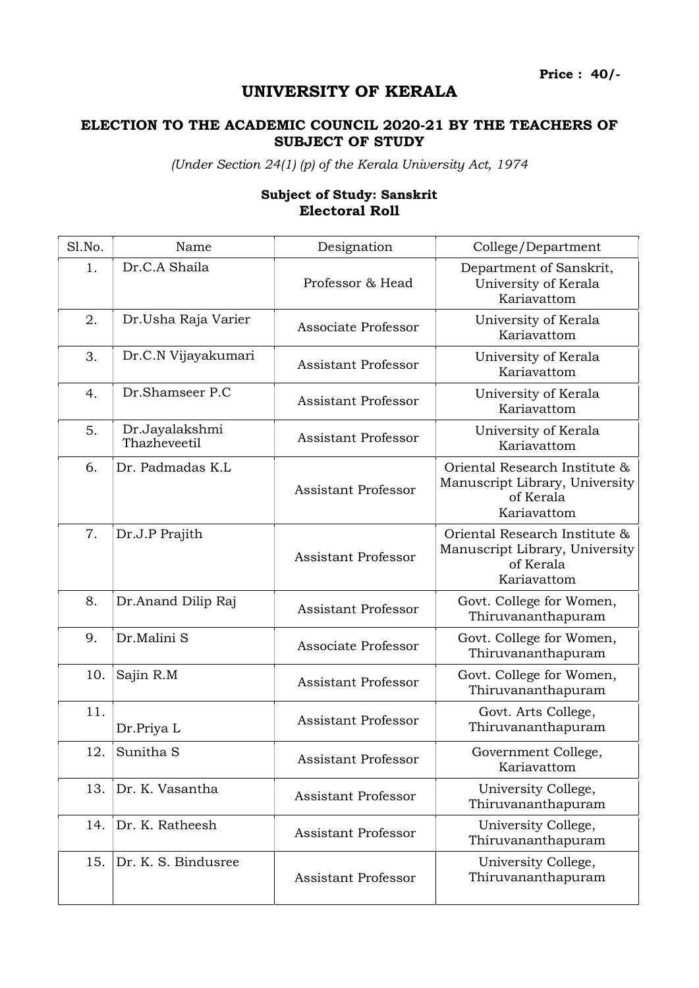Price : 40/-

## UNIVERSITY OF KERALA

## ELECTION TO THE ACADEMIC COUNCIL 2020-21 BY THE TEACHERS OF SUBJECT OF STUDY

(Under Section 24(1) (p) of the Kerala University Act, 1974

## Subject of Study: Sanskrit Electoral Roll

| Sl.No. | Name                           | Designation                | College/Department                                                                          |
|--------|--------------------------------|----------------------------|---------------------------------------------------------------------------------------------|
| 1.     | Dr.C.A Shaila                  | Professor & Head           | Department of Sanskrit,<br>University of Kerala<br>Kariavattom                              |
| 2.     | Dr.Usha Raja Varier            | Associate Professor        | University of Kerala<br>Kariavattom                                                         |
| 3.     | Dr.C.N Vijayakumari            | <b>Assistant Professor</b> | University of Kerala<br>Kariavattom                                                         |
| 4.     | Dr.Shamseer P.C                | <b>Assistant Professor</b> | University of Kerala<br>Kariavattom                                                         |
| 5.     | Dr.Jayalakshmi<br>Thazheveetil | <b>Assistant Professor</b> | University of Kerala<br>Kariavattom                                                         |
| 6.     | Dr. Padmadas K.L               | <b>Assistant Professor</b> | Oriental Research Institute &<br>Manuscript Library, University<br>of Kerala<br>Kariavattom |
| 7.     | Dr.J.P Prajith                 | <b>Assistant Professor</b> | Oriental Research Institute &<br>Manuscript Library, University<br>of Kerala<br>Kariavattom |
| 8.     | Dr.Anand Dilip Raj             | <b>Assistant Professor</b> | Govt. College for Women,<br>Thiruvananthapuram                                              |
| 9.     | Dr.Malini S                    | Associate Professor        | Govt. College for Women,<br>Thiruvananthapuram                                              |
| 10.    | Sajin R.M                      | <b>Assistant Professor</b> | Govt. College for Women,<br>Thiruvananthapuram                                              |
| 11.    | Dr.Priya L                     | <b>Assistant Professor</b> | Govt. Arts College,<br>Thiruvananthapuram                                                   |
| 12.    | Sunitha <sub>S</sub>           | <b>Assistant Professor</b> | Government College,<br>Kariavattom                                                          |
| 13.    | Dr. K. Vasantha                | <b>Assistant Professor</b> | University College,<br>Thiruvananthapuram                                                   |
| 14.    | Dr. K. Ratheesh                | <b>Assistant Professor</b> | University College,<br>Thiruvananthapuram                                                   |
| 15.    | Dr. K. S. Bindusree            | <b>Assistant Professor</b> | University College,<br>Thiruvananthapuram                                                   |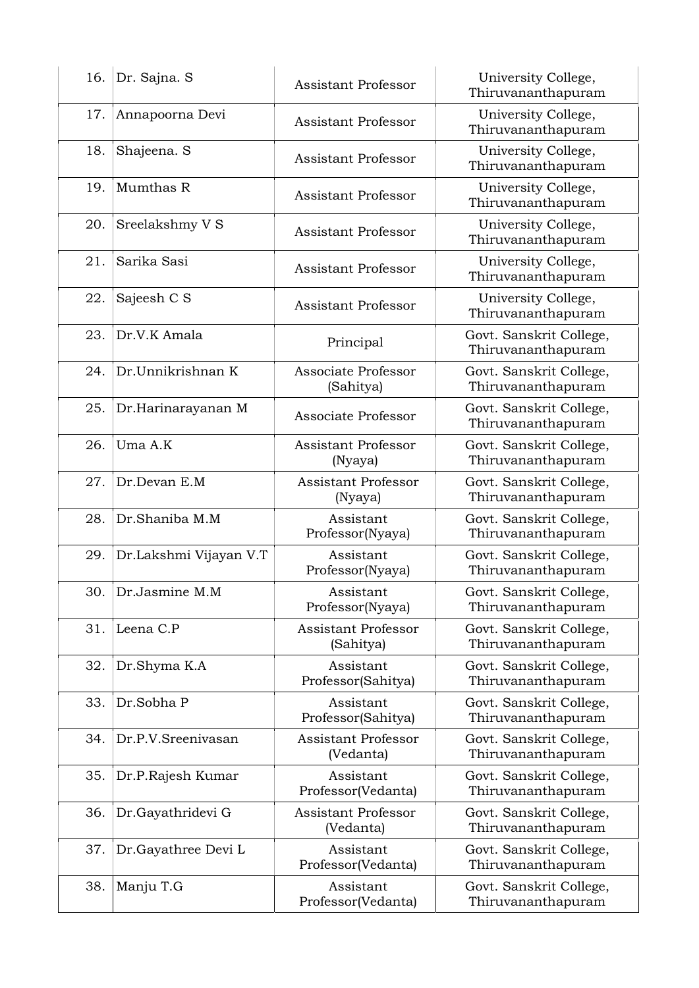| 16. | Dr. Sajna. S           | <b>Assistant Professor</b>              | University College,<br>Thiruvananthapuram     |
|-----|------------------------|-----------------------------------------|-----------------------------------------------|
| 17. | Annapoorna Devi        | Assistant Professor                     | University College,<br>Thiruvananthapuram     |
| 18. | Shajeena. S            | <b>Assistant Professor</b>              | University College,<br>Thiruvananthapuram     |
| 19. | Mumthas R              | <b>Assistant Professor</b>              | University College,<br>Thiruvananthapuram     |
| 20. | Sreelakshmy V S        | <b>Assistant Professor</b>              | University College,<br>Thiruvananthapuram     |
| 21. | Sarika Sasi            | <b>Assistant Professor</b>              | University College,<br>Thiruvananthapuram     |
| 22. | Sajeesh C S            | <b>Assistant Professor</b>              | University College,<br>Thiruvananthapuram     |
| 23. | Dr.V.K Amala           | Principal                               | Govt. Sanskrit College,<br>Thiruvananthapuram |
| 24. | Dr.Unnikrishnan K      | Associate Professor<br>(Sahitya)        | Govt. Sanskrit College,<br>Thiruvananthapuram |
| 25. | Dr.Harinarayanan M     | Associate Professor                     | Govt. Sanskrit College,<br>Thiruvananthapuram |
| 26. | Uma A.K                | <b>Assistant Professor</b><br>(Nyaya)   | Govt. Sanskrit College,<br>Thiruvananthapuram |
| 27. | Dr.Devan E.M           | <b>Assistant Professor</b><br>(Nyaya)   | Govt. Sanskrit College,<br>Thiruvananthapuram |
| 28. | Dr.Shaniba M.M         | Assistant<br>Professor(Nyaya)           | Govt. Sanskrit College,<br>Thiruvananthapuram |
| 29. | Dr.Lakshmi Vijayan V.T | Assistant<br>Professor(Nyaya)           | Govt. Sanskrit College,<br>Thiruvananthapuram |
| 30. | Dr.Jasmine M.M         | Assistant<br>Professor(Nyaya)           | Govt. Sanskrit College,<br>Thiruvananthapuram |
| 31. | Leena C.P              | <b>Assistant Professor</b><br>(Sahitya) | Govt. Sanskrit College,<br>Thiruvananthapuram |
| 32. | Dr.Shyma K.A           | Assistant<br>Professor(Sahitya)         | Govt. Sanskrit College,<br>Thiruvananthapuram |
| 33. | Dr.Sobha P             | Assistant<br>Professor(Sahitya)         | Govt. Sanskrit College,<br>Thiruvananthapuram |
| 34. | Dr.P.V.Sreenivasan     | <b>Assistant Professor</b><br>(Vedanta) | Govt. Sanskrit College,<br>Thiruvananthapuram |
| 35. | Dr.P.Rajesh Kumar      | Assistant<br>Professor(Vedanta)         | Govt. Sanskrit College,<br>Thiruvananthapuram |
| 36. | Dr.Gayathridevi G      | <b>Assistant Professor</b><br>(Vedanta) | Govt. Sanskrit College,<br>Thiruvananthapuram |
| 37. | Dr.Gayathree Devi L    | Assistant<br>Professor(Vedanta)         | Govt. Sanskrit College,<br>Thiruvananthapuram |
| 38. | Manju T.G              | Assistant<br>Professor(Vedanta)         | Govt. Sanskrit College,<br>Thiruvananthapuram |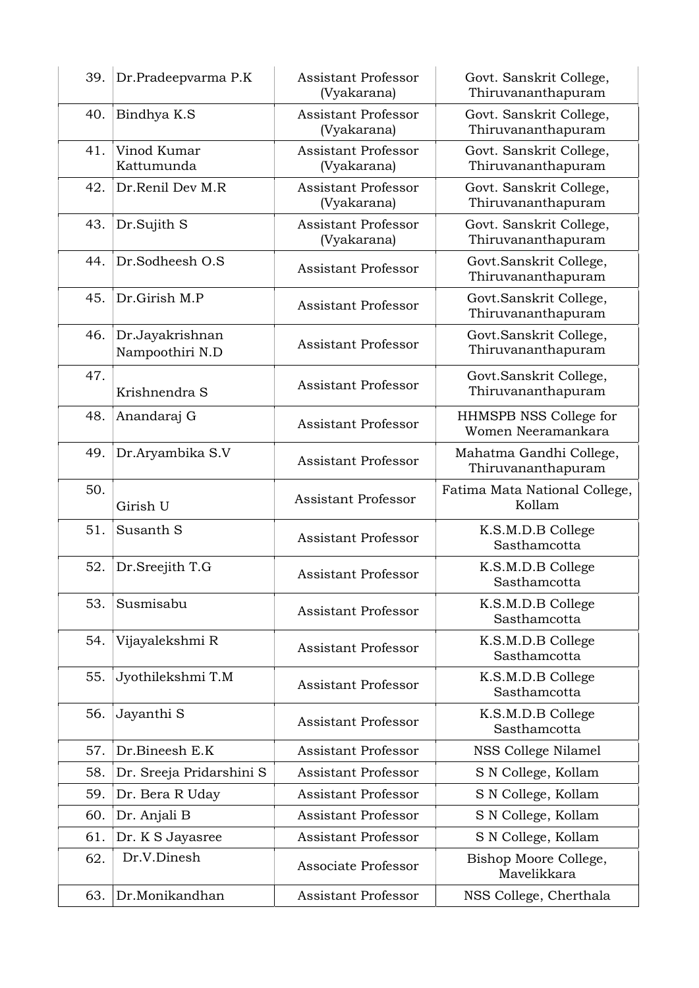| 39. | Dr.Pradeepvarma P.K                | <b>Assistant Professor</b><br>(Vyakarana) | Govt. Sanskrit College,<br>Thiruvananthapuram |
|-----|------------------------------------|-------------------------------------------|-----------------------------------------------|
| 40. | Bindhya K.S                        | <b>Assistant Professor</b><br>(Vyakarana) | Govt. Sanskrit College,<br>Thiruvananthapuram |
| 41. | Vinod Kumar<br>Kattumunda          | <b>Assistant Professor</b><br>(Vyakarana) | Govt. Sanskrit College,<br>Thiruvananthapuram |
| 42. | Dr.Renil Dev M.R                   | <b>Assistant Professor</b><br>(Vyakarana) | Govt. Sanskrit College,<br>Thiruvananthapuram |
| 43. | Dr.Sujith S                        | <b>Assistant Professor</b><br>(Vyakarana) | Govt. Sanskrit College,<br>Thiruvananthapuram |
| 44. | Dr.Sodheesh O.S                    | Assistant Professor                       | Govt.Sanskrit College,<br>Thiruvananthapuram  |
| 45. | Dr.Girish M.P                      | <b>Assistant Professor</b>                | Govt.Sanskrit College,<br>Thiruvananthapuram  |
| 46. | Dr.Jayakrishnan<br>Nampoothiri N.D | <b>Assistant Professor</b>                | Govt.Sanskrit College,<br>Thiruvananthapuram  |
| 47. | Krishnendra S                      | <b>Assistant Professor</b>                | Govt.Sanskrit College,<br>Thiruvananthapuram  |
| 48. | Anandaraj G                        | <b>Assistant Professor</b>                | HHMSPB NSS College for<br>Women Neeramankara  |
| 49. | Dr.Aryambika S.V                   | <b>Assistant Professor</b>                | Mahatma Gandhi College,<br>Thiruvananthapuram |
| 50. | Girish U                           | <b>Assistant Professor</b>                | Fatima Mata National College,<br>Kollam       |
| 51. | Susanth S                          | <b>Assistant Professor</b>                | K.S.M.D.B College<br>Sasthamcotta             |
| 52. | Dr.Sreejith T.G                    | <b>Assistant Professor</b>                | K.S.M.D.B College<br>Sasthamcotta             |
| 53. | Susmisabu                          | <b>Assistant Professor</b>                | K.S.M.D.B College<br>Sasthamcotta             |
| 54. | Vijayalekshmi R                    | <b>Assistant Professor</b>                | K.S.M.D.B College<br>Sasthamcotta             |
| 55. | Jyothilekshmi T.M                  | <b>Assistant Professor</b>                | K.S.M.D.B College<br>Sasthamcotta             |
| 56. | Jayanthi S                         | <b>Assistant Professor</b>                | K.S.M.D.B College<br>Sasthamcotta             |
| 57. | Dr.Bineesh E.K                     | <b>Assistant Professor</b>                | NSS College Nilamel                           |
| 58. | Dr. Sreeja Pridarshini S           | <b>Assistant Professor</b>                | S N College, Kollam                           |
| 59. | Dr. Bera R Uday                    | Assistant Professor                       | S N College, Kollam                           |
| 60. | Dr. Anjali B                       | Assistant Professor                       | S N College, Kollam                           |
| 61. | Dr. K S Jayasree                   | <b>Assistant Professor</b>                | S N College, Kollam                           |
| 62. | Dr.V.Dinesh                        | Associate Professor                       | Bishop Moore College,<br>Mavelikkara          |
| 63. | Dr.Monikandhan                     | Assistant Professor                       | NSS College, Cherthala                        |